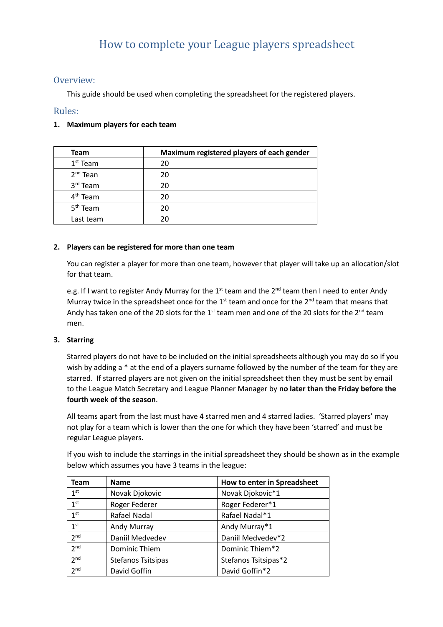# How to complete your League players spreadsheet

# Overview:

This guide should be used when completing the spreadsheet for the registered players.

# Rules:

## **1. Maximum players for each team**

| Team                 | Maximum registered players of each gender |
|----------------------|-------------------------------------------|
| $1st$ Team           | 20                                        |
| $2nd$ Tean           | 20                                        |
| 3rd Team             | 20                                        |
| 4 <sup>th</sup> Team | 20                                        |
| 5 <sup>th</sup> Team | 20                                        |
| Last team            | 20                                        |

#### **2. Players can be registered for more than one team**

You can register a player for more than one team, however that player will take up an allocation/slot for that team.

e.g. If I want to register Andy Murray for the 1<sup>st</sup> team and the 2<sup>nd</sup> team then I need to enter Andy Murray twice in the spreadsheet once for the  $1<sup>st</sup>$  team and once for the  $2<sup>nd</sup>$  team that means that Andy has taken one of the 20 slots for the  $1<sup>st</sup>$  team men and one of the 20 slots for the  $2<sup>nd</sup>$  team men.

## **3. Starring**

Starred players do not have to be included on the initial spreadsheets although you may do so if you wish by adding a \* at the end of a players surname followed by the number of the team for they are starred. If starred players are not given on the initial spreadsheet then they must be sent by email to the League Match Secretary and League Planner Manager by **no later than the Friday before the fourth week of the season**.

All teams apart from the last must have 4 starred men and 4 starred ladies. 'Starred players' may not play for a team which is lower than the one for which they have been 'starred' and must be regular League players.

If you wish to include the starrings in the initial spreadsheet they should be shown as in the example below which assumes you have 3 teams in the league:

| Team            | <b>Name</b>        | How to enter in Spreadsheet |
|-----------------|--------------------|-----------------------------|
| 1 <sup>st</sup> | Novak Djokovic     | Novak Djokovic*1            |
| 1 <sup>st</sup> | Roger Federer      | Roger Federer*1             |
| 1 <sup>st</sup> | Rafael Nadal       | Rafael Nadal*1              |
| 1 <sup>st</sup> | Andy Murray        | Andy Murray*1               |
| 2 <sub>nd</sub> | Daniil Medvedev    | Daniil Medvedev*2           |
| 2 <sup>nd</sup> | Dominic Thiem      | Dominic Thiem*2             |
| 2 <sup>nd</sup> | Stefanos Tsitsipas | Stefanos Tsitsipas*2        |
| 2 <sub>nd</sub> | David Goffin       | David Goffin*2              |